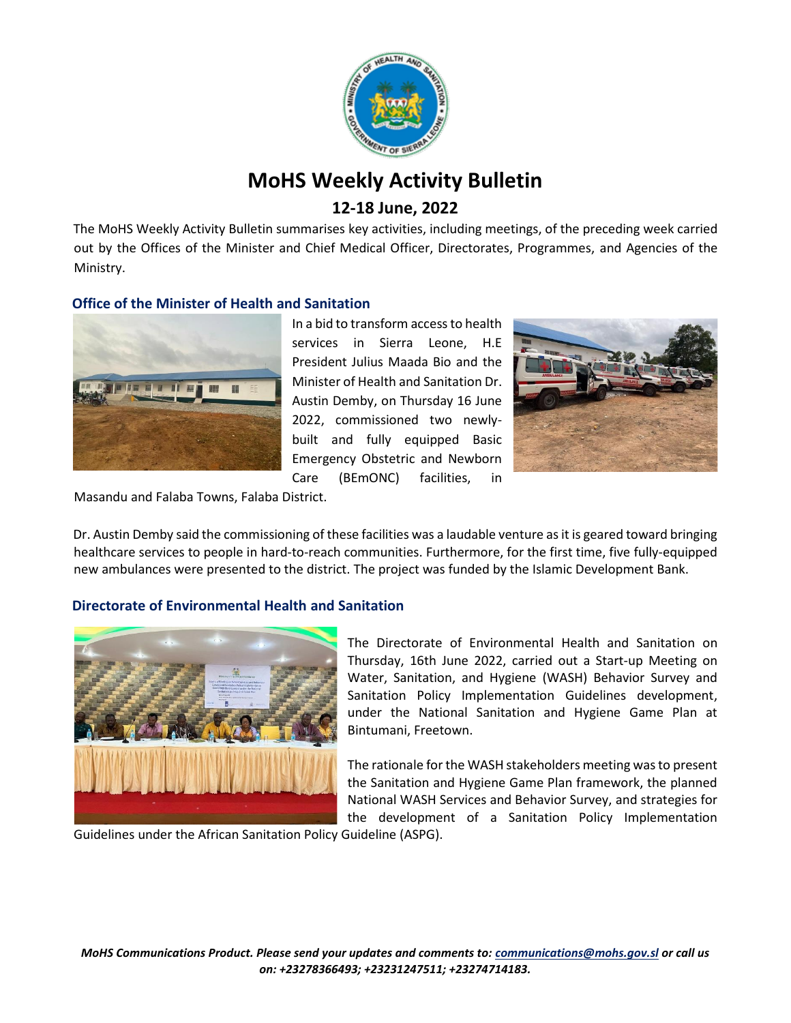

# **MoHS Weekly Activity Bulletin**

## **12-18 June, 2022**

The MoHS Weekly Activity Bulletin summarises key activities, including meetings, of the preceding week carried out by the Offices of the Minister and Chief Medical Officer, Directorates, Programmes, and Agencies of the Ministry.

## **Office of the Minister of Health and Sanitation**



In a bid to transform access to health services in Sierra Leone, H.E President Julius Maada Bio and the Minister of Health and Sanitation Dr. Austin Demby, on Thursday 16 June 2022, commissioned two newlybuilt and fully equipped Basic Emergency Obstetric and Newborn Care (BEmONC) facilities, in



Masandu and Falaba Towns, Falaba District.

Dr. Austin Demby said the commissioning of these facilities was a laudable venture as it is geared toward bringing healthcare services to people in hard-to-reach communities. Furthermore, for the first time, five fully-equipped new ambulances were presented to the district. The project was funded by the Islamic Development Bank.

## **Directorate of Environmental Health and Sanitation**



The Directorate of Environmental Health and Sanitation on Thursday, 16th June 2022, carried out a Start-up Meeting on Water, Sanitation, and Hygiene (WASH) Behavior Survey and Sanitation Policy Implementation Guidelines development, under the National Sanitation and Hygiene Game Plan at Bintumani, Freetown.

The rationale for the WASH stakeholders meeting was to present the Sanitation and Hygiene Game Plan framework, the planned National WASH Services and Behavior Survey, and strategies for the development of a Sanitation Policy Implementation

Guidelines under the African Sanitation Policy Guideline (ASPG).